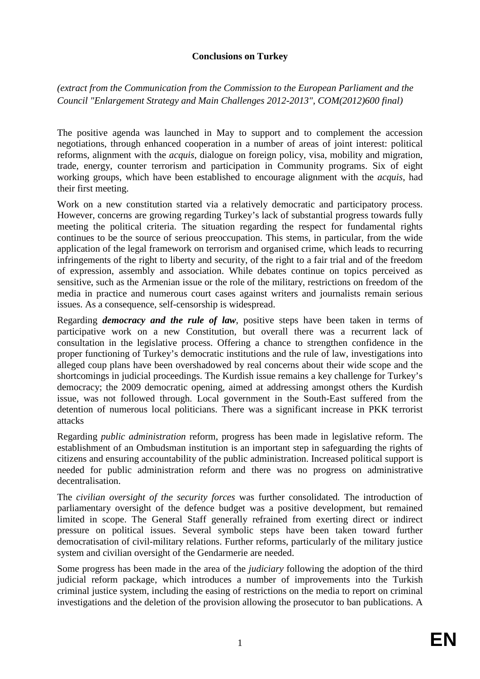## **Conclusions on Turkey**

*(extract from the Communication from the Commission to the European Parliament and the Council "Enlargement Strategy and Main Challenges 2012-2013", COM(2012)600 final)*

The positive agenda was launched in May to support and to complement the accession negotiations, through enhanced cooperation in a number of areas of joint interest: political reforms, alignment with the *acquis*, dialogue on foreign policy, visa, mobility and migration, trade, energy, counter terrorism and participation in Community programs. Six of eight working groups, which have been established to encourage alignment with the *acquis*, had their first meeting.

Work on a new constitution started via a relatively democratic and participatory process. However, concerns are growing regarding Turkey's lack of substantial progress towards fully meeting the political criteria. The situation regarding the respect for fundamental rights continues to be the source of serious preoccupation. This stems, in particular, from the wide application of the legal framework on terrorism and organised crime, which leads to recurring infringements of the right to liberty and security, of the right to a fair trial and of the freedom of expression, assembly and association. While debates continue on topics perceived as sensitive, such as the Armenian issue or the role of the military, restrictions on freedom of the media in practice and numerous court cases against writers and journalists remain serious issues. As a consequence, self-censorship is widespread.

Regarding *democracy and the rule of law*, positive steps have been taken in terms of participative work on a new Constitution, but overall there was a recurrent lack of consultation in the legislative process. Offering a chance to strengthen confidence in the proper functioning of Turkey's democratic institutions and the rule of law, investigations into alleged coup plans have been overshadowed by real concerns about their wide scope and the shortcomings in judicial proceedings. The Kurdish issue remains a key challenge for Turkey's democracy; the 2009 democratic opening, aimed at addressing amongst others the Kurdish issue, was not followed through. Local government in the South-East suffered from the detention of numerous local politicians. There was a significant increase in PKK terrorist attacks

Regarding *public administration* reform, progress has been made in legislative reform. The establishment of an Ombudsman institution is an important step in safeguarding the rights of citizens and ensuring accountability of the public administration. Increased political support is needed for public administration reform and there was no progress on administrative decentralisation.

The *civilian oversight of the security forces* was further consolidated*.* The introduction of parliamentary oversight of the defence budget was a positive development, but remained limited in scope. The General Staff generally refrained from exerting direct or indirect pressure on political issues. Several symbolic steps have been taken toward further democratisation of civil-military relations. Further reforms, particularly of the military justice system and civilian oversight of the Gendarmerie are needed.

Some progress has been made in the area of the *judiciary* following the adoption of the third judicial reform package, which introduces a number of improvements into the Turkish criminal justice system, including the easing of restrictions on the media to report on criminal investigations and the deletion of the provision allowing the prosecutor to ban publications. A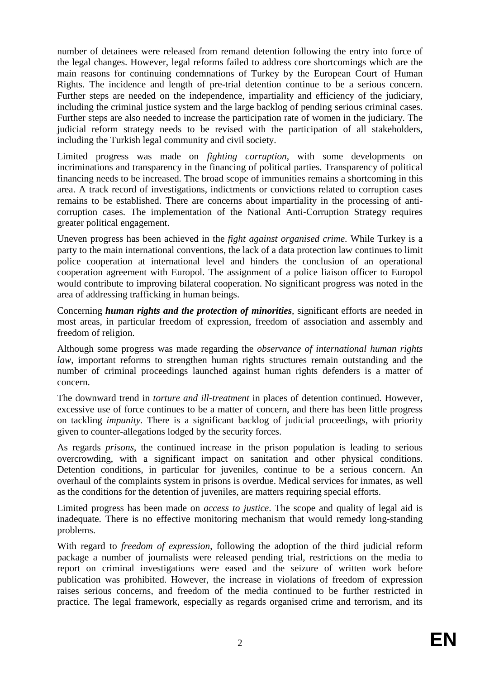number of detainees were released from remand detention following the entry into force of the legal changes. However, legal reforms failed to address core shortcomings which are the main reasons for continuing condemnations of Turkey by the European Court of Human Rights. The incidence and length of pre-trial detention continue to be a serious concern. Further steps are needed on the independence, impartiality and efficiency of the judiciary, including the criminal justice system and the large backlog of pending serious criminal cases. Further steps are also needed to increase the participation rate of women in the judiciary. The judicial reform strategy needs to be revised with the participation of all stakeholders, including the Turkish legal community and civil society.

Limited progress was made on *fighting corruption*, with some developments on incriminations and transparency in the financing of political parties. Transparency of political financing needs to be increased. The broad scope of immunities remains a shortcoming in this area. A track record of investigations, indictments or convictions related to corruption cases remains to be established. There are concerns about impartiality in the processing of anticorruption cases. The implementation of the National Anti-Corruption Strategy requires greater political engagement.

Uneven progress has been achieved in the *fight against organised crime*. While Turkey is a party to the main international conventions, the lack of a data protection law continues to limit police cooperation at international level and hinders the conclusion of an operational cooperation agreement with Europol. The assignment of a police liaison officer to Europol would contribute to improving bilateral cooperation. No significant progress was noted in the area of addressing trafficking in human beings.

Concerning *human rights and the protection of minorities*, significant efforts are needed in most areas, in particular freedom of expression, freedom of association and assembly and freedom of religion.

Although some progress was made regarding the *observance of international human rights law*, important reforms to strengthen human rights structures remain outstanding and the number of criminal proceedings launched against human rights defenders is a matter of concern.

The downward trend in *torture and ill-treatment* in places of detention continued. However, excessive use of force continues to be a matter of concern, and there has been little progress on tackling *impunity*. There is a significant backlog of judicial proceedings, with priority given to counter-allegations lodged by the security forces.

As regards *prisons*, the continued increase in the prison population is leading to serious overcrowding, with a significant impact on sanitation and other physical conditions. Detention conditions, in particular for juveniles, continue to be a serious concern. An overhaul of the complaints system in prisons is overdue. Medical services for inmates, as well as the conditions for the detention of juveniles, are matters requiring special efforts.

Limited progress has been made on *access to justice*. The scope and quality of legal aid is inadequate. There is no effective monitoring mechanism that would remedy long-standing problems.

With regard to *freedom of expression*, following the adoption of the third judicial reform package a number of journalists were released pending trial, restrictions on the media to report on criminal investigations were eased and the seizure of written work before publication was prohibited. However, the increase in violations of freedom of expression raises serious concerns, and freedom of the media continued to be further restricted in practice. The legal framework, especially as regards organised crime and terrorism, and its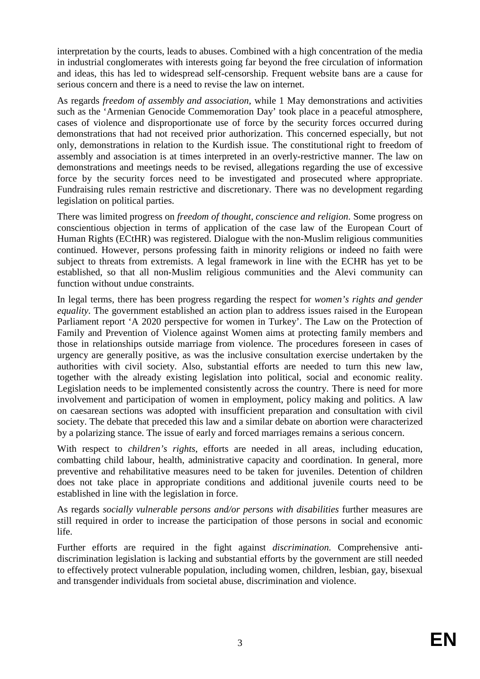interpretation by the courts, leads to abuses. Combined with a high concentration of the media in industrial conglomerates with interests going far beyond the free circulation of information and ideas, this has led to widespread self-censorship. Frequent website bans are a cause for serious concern and there is a need to revise the law on internet.

As regards *freedom of assembly and association,* while 1 May demonstrations and activities such as the 'Armenian Genocide Commemoration Day' took place in a peaceful atmosphere, cases of violence and disproportionate use of force by the security forces occurred during demonstrations that had not received prior authorization. This concerned especially, but not only, demonstrations in relation to the Kurdish issue. The constitutional right to freedom of assembly and association is at times interpreted in an overly-restrictive manner. The law on demonstrations and meetings needs to be revised, allegations regarding the use of excessive force by the security forces need to be investigated and prosecuted where appropriate. Fundraising rules remain restrictive and discretionary. There was no development regarding legislation on political parties.

There was limited progress on *freedom of thought, conscience and religion*. Some progress on conscientious objection in terms of application of the case law of the European Court of Human Rights (ECtHR) was registered. Dialogue with the non-Muslim religious communities continued. However, persons professing faith in minority religions or indeed no faith were subject to threats from extremists. A legal framework in line with the ECHR has yet to be established, so that all non-Muslim religious communities and the Alevi community can function without undue constraints.

In legal terms, there has been progress regarding the respect for *women's rights and gender equality*. The government established an action plan to address issues raised in the European Parliament report 'A 2020 perspective for women in Turkey'. The Law on the Protection of Family and Prevention of Violence against Women aims at protecting family members and those in relationships outside marriage from violence. The procedures foreseen in cases of urgency are generally positive, as was the inclusive consultation exercise undertaken by the authorities with civil society. Also, substantial efforts are needed to turn this new law, together with the already existing legislation into political, social and economic reality. Legislation needs to be implemented consistently across the country. There is need for more involvement and participation of women in employment, policy making and politics. A law on caesarean sections was adopted with insufficient preparation and consultation with civil society. The debate that preceded this law and a similar debate on abortion were characterized by a polarizing stance. The issue of early and forced marriages remains a serious concern.

With respect to *children's rights*, efforts are needed in all areas, including education, combatting child labour, health, administrative capacity and coordination. In general, more preventive and rehabilitative measures need to be taken for juveniles. Detention of children does not take place in appropriate conditions and additional juvenile courts need to be established in line with the legislation in force.

As regards *socially vulnerable persons and/or persons with disabilities* further measures are still required in order to increase the participation of those persons in social and economic life.

Further efforts are required in the fight against *discrimination.* Comprehensive antidiscrimination legislation is lacking and substantial efforts by the government are still needed to effectively protect vulnerable population, including women, children, lesbian, gay, bisexual and transgender individuals from societal abuse, discrimination and violence.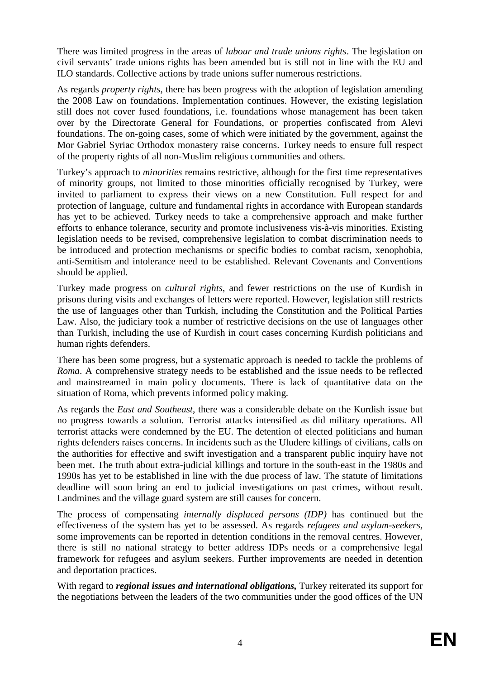There was limited progress in the areas of *labour and trade unions rights*. The legislation on civil servants' trade unions rights has been amended but is still not in line with the EU and ILO standards. Collective actions by trade unions suffer numerous restrictions.

As regards *property rights*, there has been progress with the adoption of legislation amending the 2008 Law on foundations. Implementation continues. However, the existing legislation still does not cover fused foundations, i.e. foundations whose management has been taken over by the Directorate General for Foundations, or properties confiscated from Alevi foundations. The on-going cases, some of which were initiated by the government, against the Mor Gabriel Syriac Orthodox monastery raise concerns. Turkey needs to ensure full respect of the property rights of all non-Muslim religious communities and others.

Turkey's approach to *minorities* remains restrictive, although for the first time representatives of minority groups, not limited to those minorities officially recognised by Turkey, were invited to parliament to express their views on a new Constitution. Full respect for and protection of language, culture and fundamental rights in accordance with European standards has yet to be achieved. Turkey needs to take a comprehensive approach and make further efforts to enhance tolerance, security and promote inclusiveness vis-à-vis minorities. Existing legislation needs to be revised, comprehensive legislation to combat discrimination needs to be introduced and protection mechanisms or specific bodies to combat racism, xenophobia, anti-Semitism and intolerance need to be established. Relevant Covenants and Conventions should be applied.

Turkey made progress on *cultural rights*, and fewer restrictions on the use of Kurdish in prisons during visits and exchanges of letters were reported. However, legislation still restricts the use of languages other than Turkish, including the Constitution and the Political Parties Law. Also, the judiciary took a number of restrictive decisions on the use of languages other than Turkish, including the use of Kurdish in court cases concerning Kurdish politicians and human rights defenders.

There has been some progress, but a systematic approach is needed to tackle the problems of *Roma*. A comprehensive strategy needs to be established and the issue needs to be reflected and mainstreamed in main policy documents. There is lack of quantitative data on the situation of Roma, which prevents informed policy making.

As regards the *East and Southeast*, there was a considerable debate on the Kurdish issue but no progress towards a solution. Terrorist attacks intensified as did military operations. All terrorist attacks were condemned by the EU. The detention of elected politicians and human rights defenders raises concerns. In incidents such as the Uludere killings of civilians, calls on the authorities for effective and swift investigation and a transparent public inquiry have not been met. The truth about extra-judicial killings and torture in the south-east in the 1980s and 1990s has yet to be established in line with the due process of law. The statute of limitations deadline will soon bring an end to judicial investigations on past crimes, without result. Landmines and the village guard system are still causes for concern.

The process of compensating *internally displaced persons (IDP)* has continued but the effectiveness of the system has yet to be assessed. As regards *refugees and asylum-seekers,* some improvements can be reported in detention conditions in the removal centres. However, there is still no national strategy to better address IDPs needs or a comprehensive legal framework for refugees and asylum seekers. Further improvements are needed in detention and deportation practices.

With regard to *regional issues and international obligations,* Turkey reiterated its support for the negotiations between the leaders of the two communities under the good offices of the UN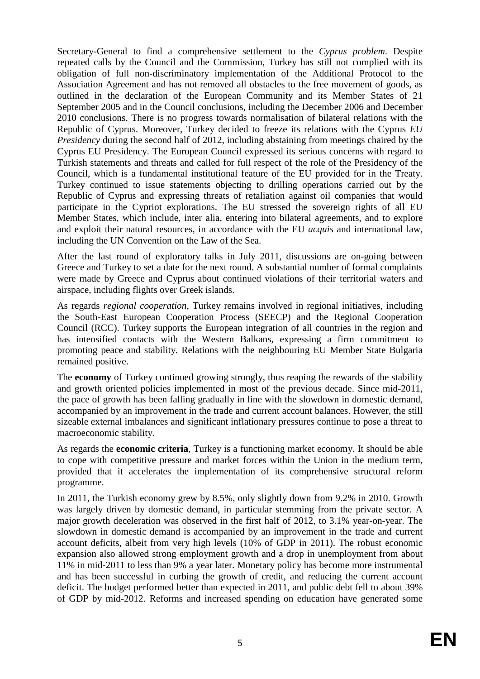Secretary-General to find a comprehensive settlement to the *Cyprus problem*. Despite repeated calls by the Council and the Commission, Turkey has still not complied with its obligation of full non-discriminatory implementation of the Additional Protocol to the Association Agreement and has not removed all obstacles to the free movement of goods, as outlined in the declaration of the European Community and its Member States of 21 September 2005 and in the Council conclusions, including the December 2006 and December 2010 conclusions. There is no progress towards normalisation of bilateral relations with the Republic of Cyprus. Moreover, Turkey decided to freeze its relations with the Cyprus *EU Presidency* during the second half of 2012, including abstaining from meetings chaired by the Cyprus EU Presidency. The European Council expressed its serious concerns with regard to Turkish statements and threats and called for full respect of the role of the Presidency of the Council, which is a fundamental institutional feature of the EU provided for in the Treaty. Turkey continued to issue statements objecting to drilling operations carried out by the Republic of Cyprus and expressing threats of retaliation against oil companies that would participate in the Cypriot explorations. The EU stressed the sovereign rights of all EU Member States, which include, inter alia, entering into bilateral agreements, and to explore and exploit their natural resources, in accordance with the EU *acquis* and international law, including the UN Convention on the Law of the Sea.

After the last round of exploratory talks in July 2011, discussions are on-going between Greece and Turkey to set a date for the next round. A substantial number of formal complaints were made by Greece and Cyprus about continued violations of their territorial waters and airspace, including flights over Greek islands.

As regards *regional cooperation*, Turkey remains involved in regional initiatives, including the South-East European Cooperation Process (SEECP) and the Regional Cooperation Council (RCC). Turkey supports the European integration of all countries in the region and has intensified contacts with the Western Balkans, expressing a firm commitment to promoting peace and stability. Relations with the neighbouring EU Member State Bulgaria remained positive.

The **economy** of Turkey continued growing strongly, thus reaping the rewards of the stability and growth oriented policies implemented in most of the previous decade. Since mid-2011, the pace of growth has been falling gradually in line with the slowdown in domestic demand, accompanied by an improvement in the trade and current account balances. However, the still sizeable external imbalances and significant inflationary pressures continue to pose a threat to macroeconomic stability.

As regards the **economic criteria**, Turkey is a functioning market economy. It should be able to cope with competitive pressure and market forces within the Union in the medium term, provided that it accelerates the implementation of its comprehensive structural reform programme.

In 2011, the Turkish economy grew by 8.5%, only slightly down from 9.2% in 2010. Growth was largely driven by domestic demand, in particular stemming from the private sector. A major growth deceleration was observed in the first half of 2012, to 3.1% year-on-year. The slowdown in domestic demand is accompanied by an improvement in the trade and current account deficits, albeit from very high levels (10% of GDP in 2011). The robust economic expansion also allowed strong employment growth and a drop in unemployment from about 11% in mid-2011 to less than 9% a year later. Monetary policy has become more instrumental and has been successful in curbing the growth of credit, and reducing the [current account](http://www.roubini.com/analysis/154587.php)  [deficit.](http://www.roubini.com/analysis/154587.php) The budget performed better than expected in 2011, and public debt fell to about 39% of GDP by mid-2012. Reforms and increased spending on education have generated some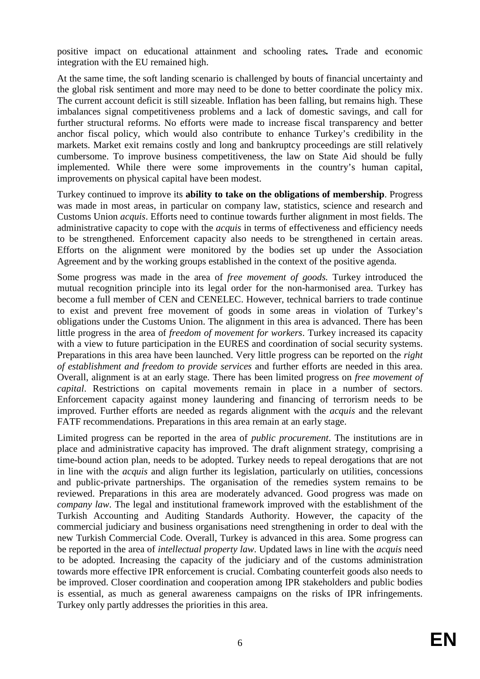positive impact on educational attainment and schooling rates*.* Trade and economic integration with the EU remained high.

At the same time, the soft landing scenario is challenged by bouts of financial uncertainty and the global risk sentiment and more may need to be done to better coordinate the policy mix. The current account deficit is still sizeable. Inflation has been falling, but remains high. These imbalances signal competitiveness problems and a lack of domestic savings, and call for further structural reforms. No efforts were made to increase fiscal transparency and better anchor fiscal policy, which would also contribute to enhance Turkey's credibility in the markets. Market exit remains costly and long and bankruptcy proceedings are still relatively cumbersome. To improve business competitiveness, the law on State Aid should be fully implemented. While there were some improvements in the country's human capital, improvements on physical capital have been modest.

Turkey continued to improve its **ability to take on the obligations of membership**. Progress was made in most areas, in particular on company law, statistics, science and research and Customs Union *acquis*. Efforts need to continue towards further alignment in most fields. The administrative capacity to cope with the *acquis* in terms of effectiveness and efficiency needs to be strengthened. Enforcement capacity also needs to be strengthened in certain areas. Efforts on the alignment were monitored by the bodies set up under the Association Agreement and by the working groups established in the context of the positive agenda.

Some progress was made in the area of *free movement of goods.* Turkey introduced the mutual recognition principle into its legal order for the non-harmonised area. Turkey has become a full member of CEN and CENELEC. However, technical barriers to trade continue to exist and prevent free movement of goods in some areas in violation of Turkey's obligations under the Customs Union. The alignment in this area is advanced. There has been little progress in the area of *freedom of movement for workers*. Turkey increased its capacity with a view to future participation in the EURES and coordination of social security systems. Preparations in this area have been launched. Very little progress can be reported on the *right of establishment and freedom to provide services* and further efforts are needed in this area. Overall, alignment is at an early stage. There has been limited progress on *free movement of capital*. Restrictions on capital movements remain in place in a number of sectors. Enforcement capacity against money laundering and financing of terrorism needs to be improved. Further efforts are needed as regards alignment with the *acquis* and the relevant FATF recommendations. Preparations in this area remain at an early stage.

Limited progress can be reported in the area of *public procurement*. The institutions are in place and administrative capacity has improved. The draft alignment strategy, comprising a time-bound action plan, needs to be adopted. Turkey needs to repeal derogations that are not in line with the *acquis* and align further its legislation, particularly on utilities, concessions and public-private partnerships. The organisation of the remedies system remains to be reviewed. Preparations in this area are moderately advanced. Good progress was made on *company law*. The legal and institutional framework improved with the establishment of the Turkish Accounting and Auditing Standards Authority. However, the capacity of the commercial judiciary and business organisations need strengthening in order to deal with the new Turkish Commercial Code. Overall, Turkey is advanced in this area. Some progress can be reported in the area of *intellectual property law*. Updated laws in line with the *acquis* need to be adopted. Increasing the capacity of the judiciary and of the customs administration towards more effective IPR enforcement is crucial. Combating counterfeit goods also needs to be improved. Closer coordination and cooperation among IPR stakeholders and public bodies is essential, as much as general awareness campaigns on the risks of IPR infringements. Turkey only partly addresses the priorities in this area.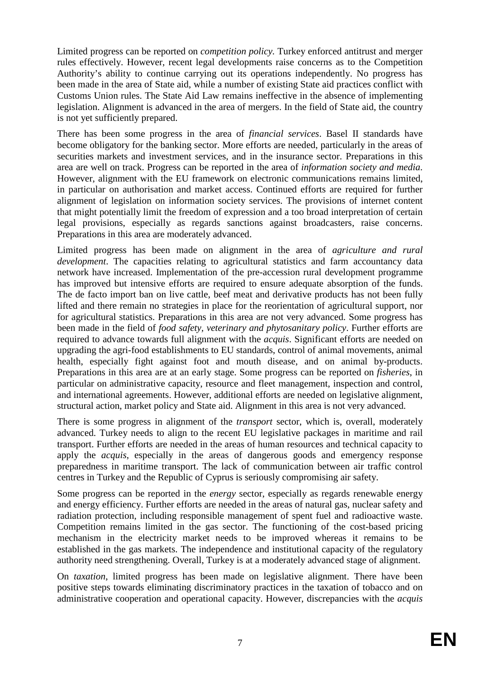Limited progress can be reported on *competition policy.* Turkey enforced antitrust and merger rules effectively. However, recent legal developments raise concerns as to the Competition Authority's ability to continue carrying out its operations independently. No progress has been made in the area of State aid, while a number of existing State aid practices conflict with Customs Union rules. The State Aid Law remains ineffective in the absence of implementing legislation. Alignment is advanced in the area of mergers. In the field of State aid, the country is not yet sufficiently prepared.

There has been some progress in the area of *financial services*. Basel II standards have become obligatory for the banking sector. More efforts are needed, particularly in the areas of securities markets and investment services, and in the insurance sector. Preparations in this area are well on track. Progress can be reported in the area of *information society and media*. However, alignment with the EU framework on electronic communications remains limited, in particular on authorisation and market access. Continued efforts are required for further alignment of legislation on information society services. The provisions of internet content that might potentially limit the freedom of expression and a too broad interpretation of certain legal provisions, especially as regards sanctions against broadcasters, raise concerns. Preparations in this area are moderately advanced.

Limited progress has been made on alignment in the area of *agriculture and rural development*. The capacities relating to agricultural statistics and farm accountancy data network have increased. Implementation of the pre-accession rural development programme has improved but intensive efforts are required to ensure adequate absorption of the funds. The de facto import ban on live cattle, beef meat and derivative products has not been fully lifted and there remain no strategies in place for the reorientation of agricultural support, nor for agricultural statistics. Preparations in this area are not very advanced. Some progress has been made in the field of *food safety, veterinary and phytosanitary policy*. Further efforts are required to advance towards full alignment with the *acquis*. Significant efforts are needed on upgrading the agri-food establishments to EU standards, control of animal movements, animal health, especially fight against foot and mouth disease, and on animal by-products. Preparations in this area are at an early stage. Some progress can be reported on *fisheries*, in particular on administrative capacity, resource and fleet management, inspection and control, and international agreements. However, additional efforts are needed on legislative alignment, structural action, market policy and State aid. Alignment in this area is not very advanced.

There is some progress in alignment of the *transport* sector, which is, overall, moderately advanced. Turkey needs to align to the recent EU legislative packages in maritime and rail transport. Further efforts are needed in the areas of human resources and technical capacity to apply the *acquis*, especially in the areas of dangerous goods and emergency response preparedness in maritime transport. The lack of communication between air traffic control centres in Turkey and the Republic of Cyprus is seriously compromising air safety.

Some progress can be reported in the *energy* sector, especially as regards renewable energy and energy efficiency. Further efforts are needed in the areas of natural gas, nuclear safety and radiation protection, including responsible management of spent fuel and radioactive waste. Competition remains limited in the gas sector. The functioning of the cost-based pricing mechanism in the electricity market needs to be improved whereas it remains to be established in the gas markets. The independence and institutional capacity of the regulatory authority need strengthening. Overall, Turkey is at a moderately advanced stage of alignment.

On *taxation*, limited progress has been made on legislative alignment. There have been positive steps towards eliminating discriminatory practices in the taxation of tobacco and on administrative cooperation and operational capacity. However, discrepancies with the *acquis*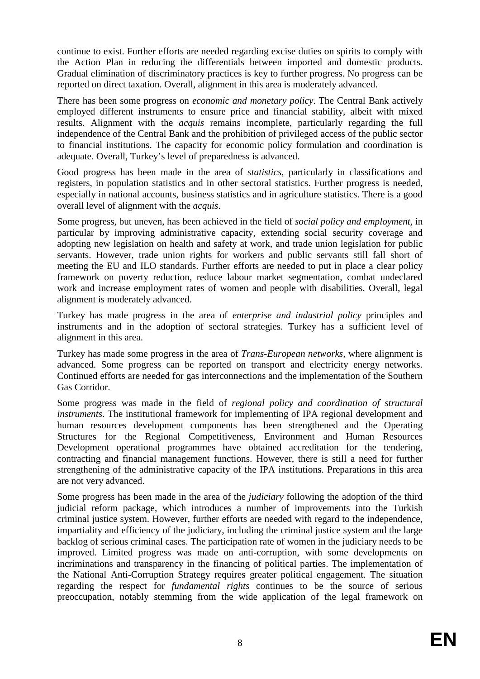continue to exist. Further efforts are needed regarding excise duties on spirits to comply with the Action Plan in reducing the differentials between imported and domestic products. Gradual elimination of discriminatory practices is key to further progress. No progress can be reported on direct taxation. Overall, alignment in this area is moderately advanced.

There has been some progress on *economic and monetary policy*. The Central Bank actively employed different instruments to ensure price and financial stability, albeit with mixed results. Alignment with the *acquis* remains incomplete, particularly regarding the full independence of the Central Bank and the prohibition of privileged access of the public sector to financial institutions. The capacity for economic policy formulation and coordination is adequate. Overall, Turkey's level of preparedness is advanced.

Good progress has been made in the area of *statistics*, particularly in classifications and registers, in population statistics and in other sectoral statistics. Further progress is needed, especially in national accounts, business statistics and in agriculture statistics. There is a good overall level of alignment with the *acquis*.

Some progress, but uneven, has been achieved in the field of *social policy and employment,* in particular by improving administrative capacity, extending social security coverage and adopting new legislation on health and safety at work, and trade union legislation for public servants. However, trade union rights for workers and public servants still fall short of meeting the EU and ILO standards. Further efforts are needed to put in place a clear policy framework on poverty reduction, reduce labour market segmentation, combat undeclared work and increase employment rates of women and people with disabilities. Overall, legal alignment is moderately advanced.

Turkey has made progress in the area of *enterprise and industrial policy* principles and instruments and in the adoption of sectoral strategies. Turkey has a sufficient level of alignment in this area.

Turkey has made some progress in the area of *Trans-European networks*, where alignment is advanced. Some progress can be reported on transport and electricity energy networks. Continued efforts are needed for gas interconnections and the implementation of the Southern Gas Corridor.

Some progress was made in the field of *regional policy and coordination of structural instruments*. The institutional framework for implementing of IPA regional development and human resources development components has been strengthened and the Operating Structures for the Regional Competitiveness, Environment and Human Resources Development operational programmes have obtained accreditation for the tendering, contracting and financial management functions. However, there is still a need for further strengthening of the administrative capacity of the IPA institutions. Preparations in this area are not very advanced.

Some progress has been made in the area of the *judiciary* following the adoption of the third judicial reform package, which introduces a number of improvements into the Turkish criminal justice system. However, further efforts are needed with regard to the independence, impartiality and efficiency of the judiciary, including the criminal justice system and the large backlog of serious criminal cases. The participation rate of women in the judiciary needs to be improved. Limited progress was made on anti-corruption, with some developments on incriminations and transparency in the financing of political parties. The implementation of the National Anti-Corruption Strategy requires greater political engagement. The situation regarding the respect for *fundamental rights* continues to be the source of serious preoccupation, notably stemming from the wide application of the legal framework on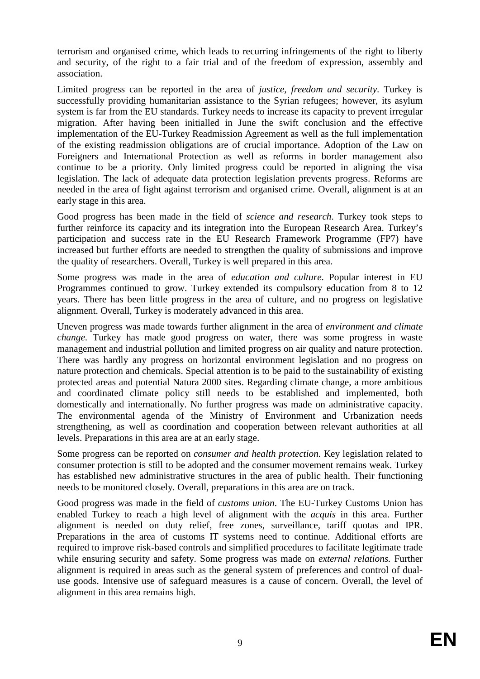terrorism and organised crime, which leads to recurring infringements of the right to liberty and security, of the right to a fair trial and of the freedom of expression, assembly and association.

Limited progress can be reported in the area of *justice, freedom and security*. Turkey is successfully providing humanitarian assistance to the Syrian refugees; however, its asylum system is far from the EU standards. Turkey needs to increase its capacity to prevent irregular migration. After having been initialled in June the swift conclusion and the effective implementation of the EU-Turkey Readmission Agreement as well as the full implementation of the existing readmission obligations are of crucial importance. Adoption of the Law on Foreigners and International Protection as well as reforms in border management also continue to be a priority. Only limited progress could be reported in aligning the visa legislation. The lack of adequate data protection legislation prevents progress. Reforms are needed in the area of fight against terrorism and organised crime. Overall, alignment is at an early stage in this area.

Good progress has been made in the field of *science and research*. Turkey took steps to further reinforce its capacity and its integration into the European Research Area. Turkey's participation and success rate in the EU Research Framework Programme (FP7) have increased but further efforts are needed to strengthen the quality of submissions and improve the quality of researchers. Overall, Turkey is well prepared in this area.

Some progress was made in the area of *education and culture*. Popular interest in EU Programmes continued to grow. Turkey extended its compulsory education from 8 to 12 years. There has been little progress in the area of culture, and no progress on legislative alignment. Overall, Turkey is moderately advanced in this area.

Uneven progress was made towards further alignment in the area of *environment and climate change*. Turkey has made good progress on water, there was some progress in waste management and industrial pollution and limited progress on air quality and nature protection. There was hardly any progress on horizontal environment legislation and no progress on nature protection and chemicals. Special attention is to be paid to the sustainability of existing protected areas and potential Natura 2000 sites. Regarding climate change, a more ambitious and coordinated climate policy still needs to be established and implemented, both domestically and internationally. No further progress was made on administrative capacity. The environmental agenda of the Ministry of Environment and Urbanization needs strengthening, as well as coordination and cooperation between relevant authorities at all levels. Preparations in this area are at an early stage.

Some progress can be reported on *consumer and health protection.* Key legislation related to consumer protection is still to be adopted and the consumer movement remains weak. Turkey has established new administrative structures in the area of public health. Their functioning needs to be monitored closely. Overall, preparations in this area are on track.

Good progress was made in the field of *customs union*. The EU-Turkey Customs Union has enabled Turkey to reach a high level of alignment with the *acquis* in this area. Further alignment is needed on duty relief, free zones, surveillance, tariff quotas and IPR. Preparations in the area of customs IT systems need to continue. Additional efforts are required to improve risk-based controls and simplified procedures to facilitate legitimate trade while ensuring security and safety. Some progress was made on *external relations.* Further alignment is required in areas such as the general system of preferences and control of dualuse goods. Intensive use of safeguard measures is a cause of concern. Overall, the level of alignment in this area remains high.